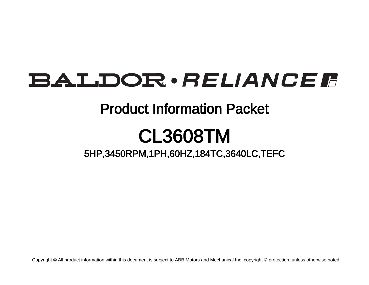# **BALDOR** · RELIANCE F

# Product Information Packet

# CL3608TM

5HP,3450RPM,1PH,60HZ,184TC,3640LC,TEFC

Copyright © All product information within this document is subject to ABB Motors and Mechanical Inc. copyright © protection, unless otherwise noted.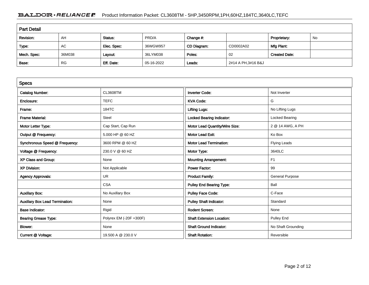## BALDOR · RELIANCE F Product Information Packet: CL3608TM - 5HP,3450RPM,1PH,60HZ,184TC,3640LC,TEFC

| <b>Part Detail</b> |           |             |            |             |                    |                      |    |  |
|--------------------|-----------|-------------|------------|-------------|--------------------|----------------------|----|--|
| Revision:          | AH        | Status:     | PRD/A      | Change #:   |                    | Proprietary:         | No |  |
| Type:              | AC        | Elec. Spec: | 36WGW957   | CD Diagram: | CD0002A02          | Mfg Plant:           |    |  |
| Mech. Spec:        | 36M038    | Layout:     | 36LYM038   | Poles:      | 02                 | <b>Created Date:</b> |    |  |
| Base:              | <b>RG</b> | Eff. Date:  | 05-16-2022 | Leads:      | 2#14 A PH,3#16 B&J |                      |    |  |

| <b>Specs</b>                           |                         |                                  |                        |
|----------------------------------------|-------------------------|----------------------------------|------------------------|
| <b>Catalog Number:</b>                 | <b>CL3608TM</b>         | <b>Inverter Code:</b>            | Not Inverter           |
| Enclosure:                             | <b>TEFC</b>             | <b>KVA Code:</b>                 | G                      |
| Frame:                                 | 184TC                   | <b>Lifting Lugs:</b>             | No Lifting Lugs        |
| <b>Frame Material:</b>                 | Steel                   | <b>Locked Bearing Indicator:</b> | Locked Bearing         |
| Motor Letter Type:                     | Cap Start, Cap Run      | Motor Lead Quantity/Wire Size:   | 2 @ 14 AWG, A PH       |
| Output @ Frequency:                    | 5.000 HP @ 60 HZ        | <b>Motor Lead Exit:</b>          | Ko Box                 |
| Synchronous Speed @ Frequency:         | 3600 RPM @ 60 HZ        | <b>Motor Lead Termination:</b>   | Flying Leads           |
| Voltage @ Frequency:                   | 230.0 V @ 60 HZ         | Motor Type:                      | 3640LC                 |
| XP Class and Group:                    | None                    | <b>Mounting Arrangement:</b>     | F <sub>1</sub>         |
| <b>XP Division:</b>                    | Not Applicable          | <b>Power Factor:</b>             | 99                     |
| <b>Agency Approvals:</b>               | UR.                     | <b>Product Family:</b>           | <b>General Purpose</b> |
|                                        | <b>CSA</b>              | <b>Pulley End Bearing Type:</b>  | Ball                   |
| <b>Auxillary Box:</b>                  | No Auxillary Box        | <b>Pulley Face Code:</b>         | C-Face                 |
| <b>Auxillary Box Lead Termination:</b> | None                    | <b>Pulley Shaft Indicator:</b>   | Standard               |
| <b>Base Indicator:</b>                 | Rigid                   | <b>Rodent Screen:</b>            | None                   |
| <b>Bearing Grease Type:</b>            | Polyrex EM (-20F +300F) | <b>Shaft Extension Location:</b> | Pulley End             |
| <b>Blower:</b>                         | None                    | <b>Shaft Ground Indicator:</b>   | No Shaft Grounding     |
| Current @ Voltage:                     | 19.500 A @ 230.0 V      | <b>Shaft Rotation:</b>           | Reversible             |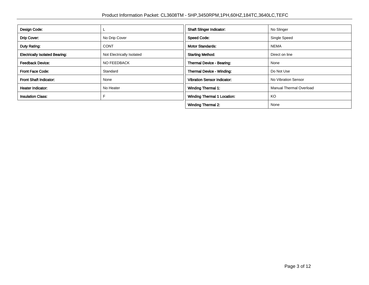| Design Code:                          |                           | <b>Shaft Slinger Indicator:</b>    | No Slinger                     |
|---------------------------------------|---------------------------|------------------------------------|--------------------------------|
| Drip Cover:                           | No Drip Cover             | <b>Speed Code:</b>                 | Single Speed                   |
| Duty Rating:                          | <b>CONT</b>               | <b>Motor Standards:</b>            | <b>NEMA</b>                    |
| <b>Electrically Isolated Bearing:</b> | Not Electrically Isolated | <b>Starting Method:</b>            | Direct on line                 |
| <b>Feedback Device:</b>               | NO FEEDBACK               | Thermal Device - Bearing:          | None                           |
| <b>Front Face Code:</b>               | Standard                  | Thermal Device - Winding:          | Do Not Use                     |
| <b>Front Shaft Indicator:</b>         | None                      | <b>Vibration Sensor Indicator:</b> | No Vibration Sensor            |
| Heater Indicator:                     | No Heater                 | Winding Thermal 1:                 | <b>Manual Thermal Overload</b> |
| <b>Insulation Class:</b>              |                           | <b>Winding Thermal 1 Location:</b> | KO                             |
|                                       |                           | <b>Winding Thermal 2:</b>          | None                           |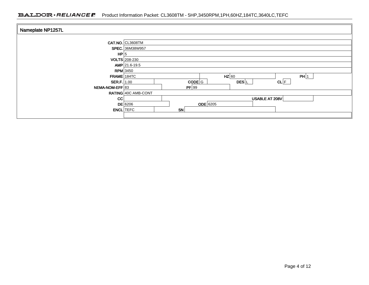### BALDOR · RELIANCE F Product Information Packet: CL3608TM - 5HP,3450RPM,1PH,60HZ,184TC,3640LC,TEFC

| Nameplate NP1257L |                        |           |                   |      |  |  |  |  |
|-------------------|------------------------|-----------|-------------------|------|--|--|--|--|
|                   |                        |           |                   |      |  |  |  |  |
|                   | CAT.NO. CL3608TM       |           |                   |      |  |  |  |  |
|                   | <b>SPEC.</b> 36M38W957 |           |                   |      |  |  |  |  |
| HP 5              |                        |           |                   |      |  |  |  |  |
|                   | <b>VOLTS</b> 208-230   |           |                   |      |  |  |  |  |
|                   | $AMP$ 21.6-19.5        |           |                   |      |  |  |  |  |
| $RPM$ 3450        |                        |           |                   |      |  |  |  |  |
| $FRAME$ 184TC     |                        |           | $HZ$ 60           | PH 1 |  |  |  |  |
| SER.F.   1.00     |                        | $CODE$ G  | DES <sup>IL</sup> | CL F |  |  |  |  |
| NEMA-NOM-EFF 83   |                        | PF 99     |                   |      |  |  |  |  |
|                   | RATING 40C AMB-CONT    |           |                   |      |  |  |  |  |
| <b>CC</b>         |                        |           | USABLE AT 208V    |      |  |  |  |  |
|                   | $DE$ 6206              | ODE 6205  |                   |      |  |  |  |  |
| <b>ENCL</b> TEFC  |                        | <b>SN</b> |                   |      |  |  |  |  |
|                   |                        |           |                   |      |  |  |  |  |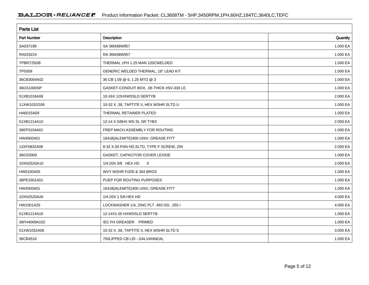| <b>Parts List</b>  |                                           |          |  |  |  |
|--------------------|-------------------------------------------|----------|--|--|--|
| <b>Part Number</b> | Description                               | Quantity |  |  |  |
| SA037199           | SA 36M38W957                              | 1.000 EA |  |  |  |
| RA033224           | RA 36M38W957                              | 1.000 EA |  |  |  |
| TPBRT25DB          | THERMAL 1PH 1.25 MAN 120CWELDED           | 1.000 EA |  |  |  |
| TP5059             | GENERIC WELDED THERMAL, 18" LEAD KIT      | 1.000 EA |  |  |  |
| 36CB3004A02        | 36 CB 1.09 @ 6, 1.25 MTO @ 3              | 1.000 EA |  |  |  |
| 36GS1000SP         | GASKET-CONDUIT BOX, .06 THICK #SV-330 LE  | 1.000 EA |  |  |  |
| 51XB1016A08        | 10-16X 1/2HXWSSLD SERTYB                  | 2.000 EA |  |  |  |
| 11XW1032G06        | 10-32 X .38, TAPTITE II, HEX WSHR SLTD U  | 1.000 EA |  |  |  |
| HA6015A09          | THERMAL RETAINER PLATED                   | 1.000 EA |  |  |  |
| 51XB1214A10        | 12-14 X 5/8HX WS SL SR TYBX               | 2.000 EA |  |  |  |
| 36EP3104A01        | FREP MACH ASSEMBLY FOR ROUTING            | 1.000 EA |  |  |  |
| HW4500A01          | 1641B(ALEMITE)400 UNIV, GREASE FITT       | 1.000 EA |  |  |  |
| 13XF0832A08        | 8-32 X.50 PAN HD, SLTD, TYPE F SCREW, ZIN | 2.000 EA |  |  |  |
| 36GS3000           | GASKET, CAPACITOR COVER LEXIDE            | 1.000 EA |  |  |  |
| 10XN2520A10        | 1/4-20X 5/8 HEX HD X                      | 2.000 EA |  |  |  |
| HW5100A05          | WVY WSHR F/205 & 304 BRGS                 | 1.000 EA |  |  |  |
| 36PE3301A01        | PUEP FOR ROUTING PURPOSES                 | 1.000 EA |  |  |  |
| HW4500A01          | 1641B(ALEMITE)400 UNIV, GREASE FITT       | 1.000 EA |  |  |  |
| 10XN2520A26        | 1/4-20X 1 5/8 HEX HD                      | 4.000 EA |  |  |  |
| HW1001A25          | LOCKWASHER 1/4, ZINC PLT .493 OD, .255 I  | 4.000 EA |  |  |  |
| 51XB1214A16        | 12-14X1.00 HXWSSLD SERTYB                 | 1.000 EA |  |  |  |
| 36FH4009A102       | IEC FH GREASER PRIMED                     | 1.000 EA |  |  |  |
| 51XW1032A06        | 10-32 X .38, TAPTITE II, HEX WSHR SLTD S  | 3.000 EA |  |  |  |
| 36CB4516           | 750LIPPED CB LID - GALVANNEAL             | 1.000 EA |  |  |  |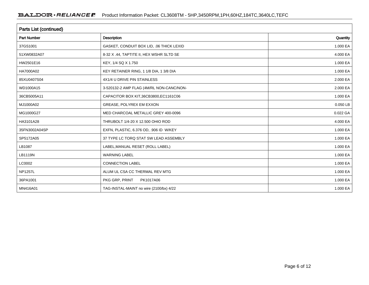| Parts List (continued) |                                          |          |  |  |  |
|------------------------|------------------------------------------|----------|--|--|--|
| <b>Part Number</b>     | Description                              | Quantity |  |  |  |
| 37GS1001               | GASKET, CONDUIT BOX LID, .06 THICK LEXID | 1.000 EA |  |  |  |
| 51XW0832A07            | 8-32 X .44, TAPTITE II, HEX WSHR SLTD SE | 4.000 EA |  |  |  |
| HW2501E16              | KEY, 1/4 SQ X 1.750                      | 1.000 EA |  |  |  |
| HA7000A02              | KEY RETAINER RING, 1 1/8 DIA, 1 3/8 DIA  | 1.000 EA |  |  |  |
| 85XU0407S04            | 4X1/4 U DRIVE PIN STAINLESS              | 2.000 EA |  |  |  |
| WD1000A15              | 3-520132-2 AMP FLAG (4M/RL NON-CANC/NON- | 2.000 EA |  |  |  |
| 36CB5005A11            | CAPACITOR BOX KIT, 36CB3800, EC1161C06   | 1.000 EA |  |  |  |
| MJ1000A02              | <b>GREASE, POLYREX EM EXXON</b>          | 0.050 LB |  |  |  |
| MG1000G27              | MED CHARCOAL METALLIC GREY 400-0096      | 0.022 GA |  |  |  |
| HA3101A28              | THRUBOLT 1/4-20 X 12.500 OHIO ROD        | 4.000 EA |  |  |  |
| 35FN3002A04SP          | EXFN, PLASTIC, 6.376 OD, .906 ID W/KEY   | 1.000 EA |  |  |  |
| SP5172A05              | 37 TYPE LC TORQ STAT SW LEAD ASSEMBLY    | 1.000 EA |  |  |  |
| LB1087                 | LABEL, MANUAL RESET (ROLL LABEL)         | 1.000 EA |  |  |  |
| <b>LB1119N</b>         | <b>WARNING LABEL</b>                     | 1.000 EA |  |  |  |
| LC0002                 | <b>CONNECTION LABEL</b>                  | 1.000 EA |  |  |  |
| <b>NP1257L</b>         | ALUM UL CSA CC THERMAL REV MTG           | 1.000 EA |  |  |  |
| 36PA1001               | PKG GRP, PRINT<br>PK1017A06              | 1.000 EA |  |  |  |
| MN416A01               | TAG-INSTAL-MAINT no wire (2100/bx) 4/22  | 1.000 EA |  |  |  |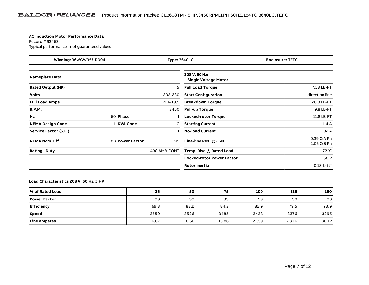#### **AC Induction Motor Performance Data**

Record # 93463Typical performance - not guaranteed values

| Winding: 36WGW957-R004   |                 | <b>Type: 3640LC</b> |                                              | <b>Enclosure: TEFC</b>                   |
|--------------------------|-----------------|---------------------|----------------------------------------------|------------------------------------------|
| <b>Nameplate Data</b>    |                 |                     | 208 V, 60 Hz:<br><b>Single Voltage Motor</b> |                                          |
| <b>Rated Output (HP)</b> |                 | 5                   | <b>Full Load Torque</b>                      | 7.58 LB-FT                               |
| <b>Volts</b>             |                 | 208-230             | <b>Start Configuration</b>                   | direct on line                           |
| <b>Full Load Amps</b>    |                 | 21.6-19.5           | <b>Breakdown Torque</b>                      | 20.9 LB-FT                               |
| <b>R.P.M.</b>            |                 | 3450                | <b>Pull-up Torque</b>                        | 9.8 LB-FT                                |
| Hz                       | 60 Phase        |                     | <b>Locked-rotor Torque</b>                   | 11.8 LB-FT                               |
| <b>NEMA Design Code</b>  | L KVA Code      | G                   | <b>Starting Current</b>                      | 114 A                                    |
| Service Factor (S.F.)    |                 |                     | <b>No-load Current</b>                       | 1.92A                                    |
| <b>NEMA Nom. Eff.</b>    | 83 Power Factor | 99                  | Line-line Res. @ 25°C                        | $0.39 \Omega A Ph$<br>$1.05 \Omega$ B Ph |
| <b>Rating - Duty</b>     |                 | 40C AMB-CONT        | Temp. Rise @ Rated Load                      | $72^{\circ}$ C                           |
|                          |                 |                     | <b>Locked-rotor Power Factor</b>             | 58.2                                     |
|                          |                 |                     | <b>Rotor inertia</b>                         | $0.18$ lb-ft <sup>2</sup>                |

#### **Load Characteristics 208 V, 60 Hz, 5 HP**

| % of Rated Load     | 25   | 50    | 75    | 100   | 125   | 150   |
|---------------------|------|-------|-------|-------|-------|-------|
| <b>Power Factor</b> | 99   | 99    | 99    | 99    | 98    | 98    |
| <b>Efficiency</b>   | 69.8 | 83.2  | 84.2  | 82.9  | 79.5  | 73.9  |
| <b>Speed</b>        | 3559 | 3526  | 3485  | 3438  | 3376  | 3295  |
| Line amperes        | 6.07 | 10.56 | 15.86 | 21.59 | 28.16 | 36.12 |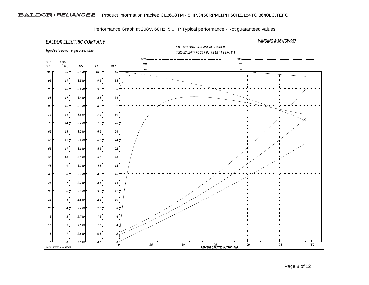

Performance Graph at 208V, 60Hz, 5.0HP Typical performance - Not guaranteed values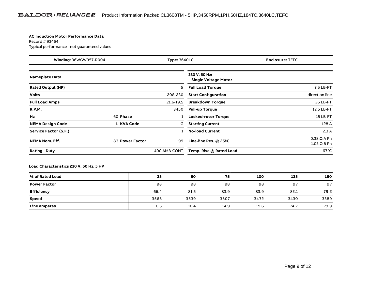#### **AC Induction Motor Performance Data**

Record # 93464Typical performance - not guaranteed values

| Winding: 36WGW957-R004<br><b>Type: 3640LC</b> |                 | <b>Enclosure: TEFC</b> |                                              |                                          |
|-----------------------------------------------|-----------------|------------------------|----------------------------------------------|------------------------------------------|
| <b>Nameplate Data</b>                         |                 |                        | 230 V, 60 Hz:<br><b>Single Voltage Motor</b> |                                          |
| <b>Rated Output (HP)</b>                      |                 | 5                      | <b>Full Load Torque</b>                      | 7.5 LB-FT                                |
| <b>Volts</b>                                  |                 | 208-230                | <b>Start Configuration</b>                   | direct on line                           |
| <b>Full Load Amps</b>                         |                 | 21.6-19.5              | <b>Breakdown Torque</b>                      | 26 LB-FT                                 |
| <b>R.P.M.</b>                                 |                 | 3450                   | <b>Pull-up Torque</b>                        | 12.5 LB-FT                               |
| Hz                                            | 60 Phase        |                        | <b>Locked-rotor Torque</b>                   | 15 LB-FT                                 |
| <b>NEMA Design Code</b>                       | L KVA Code      | G                      | <b>Starting Current</b>                      | 128 A                                    |
| Service Factor (S.F.)                         |                 |                        | <b>No-load Current</b>                       | 2.3A                                     |
| <b>NEMA Nom. Eff.</b>                         | 83 Power Factor | 99                     | Line-line Res. $@$ 25 <sup>o</sup> C         | $0.38 \Omega$ A Ph<br>$1.02 \Omega$ B Ph |
| <b>Rating - Duty</b>                          |                 | 40C AMB-CONT           | Temp. Rise @ Rated Load                      | $67^{\circ}$ C                           |

### **Load Characteristics 230 V, 60 Hz, 5 HP**

| % of Rated Load     | 25   | 50   | 75   | 100  | 125  | 150  |
|---------------------|------|------|------|------|------|------|
| <b>Power Factor</b> | 98   | 98   | 98   | 98   | 97   | 97   |
| Efficiency          | 66.4 | 81.5 | 83.9 | 83.9 | 82.1 | 79.2 |
| <b>Speed</b>        | 3565 | 3539 | 3507 | 3472 | 3430 | 3389 |
| Line amperes        | 6.5  | 10.4 | 14.9 | 19.6 | 24.7 | 29.9 |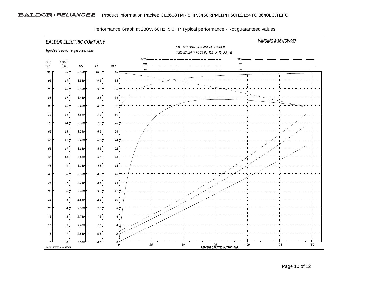

Performance Graph at 230V, 60Hz, 5.0HP Typical performance - Not guaranteed values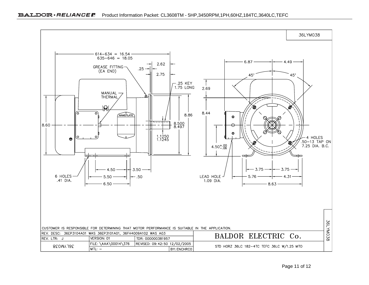

CUSTOMER IS RESPONSIBLE FOR DETERMINING THAT MOTOR PERFORMANCE IS SUITABLE IN THE APPLICATION.

TDR: 000000381957

REVISED: 09: 42: 50 12/02/2005

**BY: ENCHRCO** 

REV. DESC: 36EP3104A01 WAS 36EP3101A01, 36FH4009A102 WAS A03

FILE: \AAA\00014\376

VERSION: 01

 $MTL: -$ 

REV. LTR: J

36LYM038

BALDOR ELECTRIC Co.

STD HORZ 36LC 182-4TC TEFC 36LC W/1.25 MTO

36LYM038